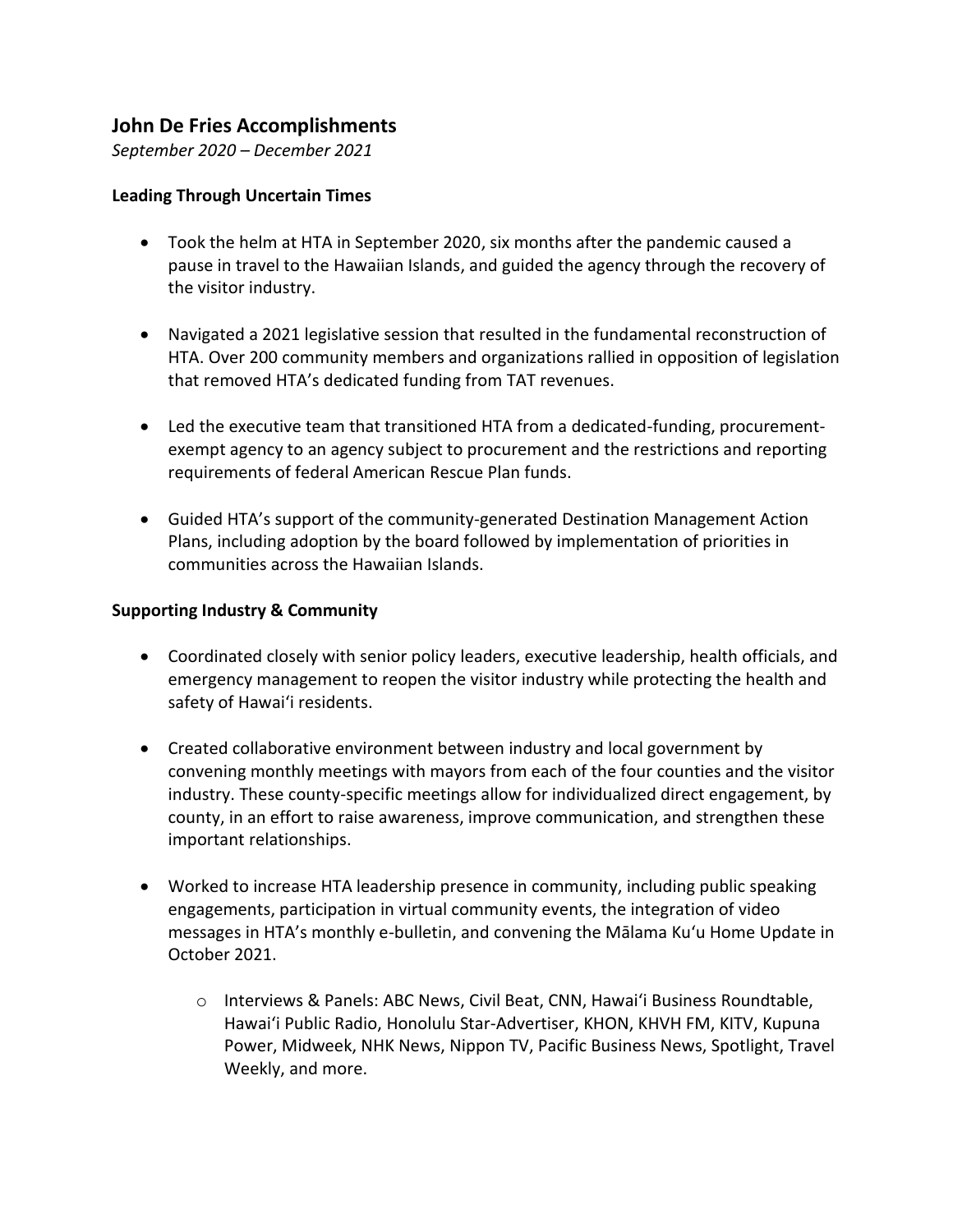## **John De Fries Accomplishments**

*September 2020 – December 2021*

## **Leading Through Uncertain Times**

- Took the helm at HTA in September 2020, six months after the pandemic caused a pause in travel to the Hawaiian Islands, and guided the agency through the recovery of the visitor industry.
- Navigated a 2021 legislative session that resulted in the fundamental reconstruction of HTA. Over 200 community members and organizations rallied in opposition of legislation that removed HTA's dedicated funding from TAT revenues.
- Led the executive team that transitioned HTA from a dedicated-funding, procurementexempt agency to an agency subject to procurement and the restrictions and reporting requirements of federal American Rescue Plan funds.
- Guided HTA's support of the community-generated Destination Management Action Plans, including adoption by the board followed by implementation of priorities in communities across the Hawaiian Islands.

## **Supporting Industry & Community**

- Coordinated closely with senior policy leaders, executive leadership, health officials, and emergency management to reopen the visitor industry while protecting the health and safety of Hawaiʻi residents.
- Created collaborative environment between industry and local government by convening monthly meetings with mayors from each of the four counties and the visitor industry. These county-specific meetings allow for individualized direct engagement, by county, in an effort to raise awareness, improve communication, and strengthen these important relationships.
- Worked to increase HTA leadership presence in community, including public speaking engagements, participation in virtual community events, the integration of video messages in HTA's monthly e-bulletin, and convening the Mālama Kuʻu Home Update in October 2021.
	- o Interviews & Panels: ABC News, Civil Beat, CNN, Hawaiʻi Business Roundtable, Hawaiʻi Public Radio, Honolulu Star-Advertiser, KHON, KHVH FM, KITV, Kupuna Power, Midweek, NHK News, Nippon TV, Pacific Business News, Spotlight, Travel Weekly, and more.